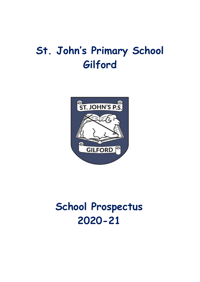# **St. John's Primary School Gilford**



# **School Prospectus 2020-21**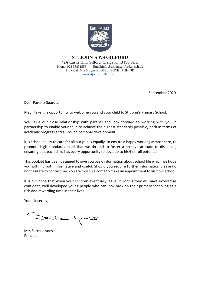

#### **ST. JOHN'S P.S GILFORD** 42A Castle Hill, Gilford, Craigavon BT63 6HH Phone: 028 38831555 Email:info@stjohns.gilford.ni.sch.uk Principal: Mrs S Lyness BSSc PGCE PQH(NI) [www.stjohnspsgilford.com](http://www.stjohnspsgilford.com/)

\_\_\_\_\_\_\_\_\_\_\_\_\_\_\_\_\_\_\_\_\_\_\_\_\_\_\_\_\_\_\_\_\_\_\_\_\_\_\_\_\_\_\_\_\_\_\_\_\_\_\_\_\_\_\_\_\_\_\_\_\_\_\_\_\_\_\_\_\_\_\_\_\_\_\_\_\_\_\_\_\_\_\_\_\_\_\_\_\_\_

September 2020

Dear Parent/Guardian,

May I take this opportunity to welcome you and your child to St. John's Primary School.

We value our close relationship with parents and look forward to working with you in partnership to enable your child to achieve the highest standards possible, both in terms of academic progress and all-round personal development.

It is school policy to care for all our pupils equally, to ensure a happy working atmosphere, to promote high standards in all that we do and to foster a positive attitude to discipline, ensuring that each child has every opportunity to develop to his/her full potential.

This booklet has been designed to give you basic information about school life which we hope you will find both informative and useful. Should you require further information please do not hesitate to contact me. You are most welcome to make an appointment to visit our school.

It is our hope that when your children eventually leave St. John's they will have evolved as confident, well developed young people who can look back on their primary schooling as a rich and rewarding time in their lives.

Your sincerely,

rche

Mrs Sorcha Lyness Principal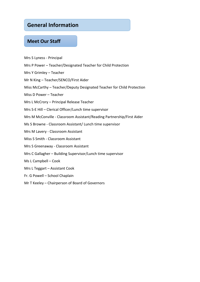# **General Information**

## **Meet Our Staff**

- Mrs S Lyness Principal
- Mrs P Power Teacher/Designated Teacher for Child Protection
- Mrs Y Grimley Teacher
- Mr N King Teacher/SENCO/First Aider
- Miss McCarthy Teacher/Deputy Designated Teacher for Child Protection
- Miss D Power Teacher
- Mrs L McCrory Principal Release Teacher
- Mrs S-E Hill Clerical Officer/Lunch time supervisor
- Mrs M McConville Classroom Assistant/Reading Partnership/First Aider
- Ms S Browne Classroom Assistant/ Lunch time supervisor
- Mrs M Lavery Classroom Assistant
- Miss S Smith Classroom Assistant
- Mrs S Greenaway Classroom Assistant
- Mrs C Gallagher Building Supervisor/Lunch time supervisor
- Ms L Campbell Cook
- Mrs L Teggart Assistant Cook
- Fr. G Powell School Chaplain
- Mr T Keeley Chairperson of Board of Governors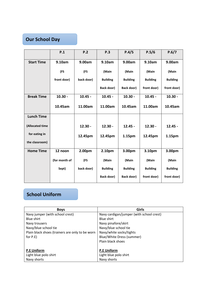# **Our School Day**

|                   | P.1           | P.2        | P.3             | P.4/5             | P.5/6           | P.6/7           |
|-------------------|---------------|------------|-----------------|-------------------|-----------------|-----------------|
| <b>Start Time</b> | 9.10am        | 9.00am     | 9.10am          | 9.00am            | 9.10am          | 9.00am          |
|                   | (FS           | (FS        | (Main           | (Main             | (Main           | (Main           |
|                   | front door)   | back door) | <b>Building</b> | <b>Building</b>   | <b>Building</b> | <b>Building</b> |
|                   |               |            | Back door)      | <b>Back door)</b> | front door)     | front door)     |
| <b>Break Time</b> | $10.30 -$     | $10.45 -$  | $10.45 -$       | $10.30 -$         | $10.45 -$       | $10.30 -$       |
|                   | 10.45am       | 11.00am    | 11.00am         | 10.45am           | 11.00am         | 10.45am         |
| <b>Lunch Time</b> |               |            |                 |                   |                 |                 |
| (Allocated time   |               | $12.30 -$  | $12.30 -$       | $12.45 -$         | $12.30 -$       | $12.45 -$       |
| for eating in     |               | 12.45pm    | 12.45pm         | 1.15pm            | 12.45pm         | 1.15pm          |
| the classroom)    |               |            |                 |                   |                 |                 |
| <b>Home Time</b>  | 12 noon       | 2.00pm     | 2.10pm          | 3.00pm            | 3.10pm          | 3.00pm          |
|                   | (for month of | (FS        | (Main           | (Main             | (Main           | (Main           |
|                   | Sept)         | back door) | <b>Building</b> | <b>Building</b>   | <b>Building</b> | <b>Building</b> |
|                   |               |            | Back door)      | Back door)        | front door)     | front door)     |

# **School Uniform**

| <b>Boys</b>                                     | <b>Girls</b>                             |  |  |
|-------------------------------------------------|------------------------------------------|--|--|
| Navy jumper (with school crest)                 | Navy cardigan/jumper (with school crest) |  |  |
| <b>Blue shirt</b>                               | <b>Blue shirt</b>                        |  |  |
| Navy trousers                                   | Navy pinafore/skirt                      |  |  |
| Navy/blue school tie                            | Navy/blue school tie                     |  |  |
| Plain black shoes (trainers are only to be worn | Navy/white socks/tights                  |  |  |
| for P.E)                                        | Blue/White Dress (summer)                |  |  |
|                                                 | Plain black shoes                        |  |  |
|                                                 |                                          |  |  |
| <b>P.E Uniform</b>                              | <b>P.E Uniform</b>                       |  |  |
| Light blue polo shirt                           | Light blue polo shirt                    |  |  |
| Navy shorts                                     | Navy shorts                              |  |  |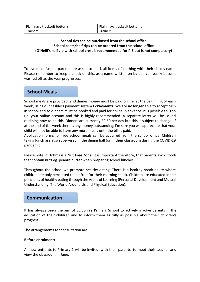| Plain navy tracksuit bottoms | Plain navy tracksuit bottoms |  |  |
|------------------------------|------------------------------|--|--|
| Trainers                     | <b>Trainers</b>              |  |  |

#### **School ties can be purchased from the school office School coats/half zips can be ordered from the school office (O'Neill's half zip with school crest is recommended for P.E but is not compulsory)**

To avoid confusion, parents are asked to mark all items of clothing with their child's name. Please remember to keep a check on this, as a name written on by pen can easily become washed off as the year progresses.

# **School Meals**

School meals are provided, and dinner money must be paid online, at the beginning of each week, using our cashless payment system **EZPayments**. We are **no longer** able to accept cash in school and so dinners must be booked and paid for online in advance. It is possible to 'Top up' your online account and this is highly recommended. A separate letter will be issued outlining how to do this. Dinners are currently £2.60 per day but this is subject to change. If at the end of the week there is any money outstanding, I'm sure you will appreciate that your child will not be able to have any more meals until the bill is paid.

Application forms for free school meals can be acquired from the school office. Children taking lunch are also supervised in the dining hall (or in their classroom during the COVID-19 pandemic).

Please note St. John's is a **Nut Free Zone**. It is important therefore, that parents avoid foods that contain nuts eg. peanut butter when preparing school lunches.

Throughout the school we promote healthy eating. There is a healthy break policy where children are only permitted to eat fruit for their morning snack. Children are educated in the principles of healthy eating through the Areas of Learning (Personal Development and Mutual Understanding, The World Around Us and Physical Education).

## **Communication**

It has always been the aim of St. John's Primary School to actively involve parents in the education of their children and to inform them as fully as possible about their children's progress.

The arrangements for consultation are:

#### **Before enrolment:**

All new entrants to Primary 1 will be invited, with their parents, to meet their teacher and view the classroom in June.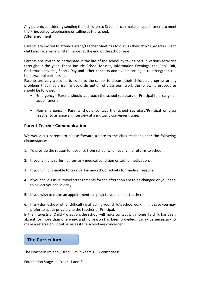Any parents considering sending their children to St John's can make an appointment to meet the Principal by telephoning or calling at the school. **After enrolment:**

Parents are invited to attend Parent/Teacher Meetings to discuss their child's progress. Each child also receives a written Report at the end of the school year.

Parents are invited to participate in the life of the school by taking part in various activities throughout the year. These include School Masses, Information Evenings, the Book Fair, Christmas activities, Sports Day and other concerts and events arranged to strengthen the home/school partnership.

Parents are very welcome to come to the school to discuss their children's progress or any problems that may arise. To avoid disruption of classroom work the following procedures should be followed:

- Emergency Parents should approach the school secretary or Principal to arrange an appointment.
- Non-Emergency Parents should contact the school secretary/Principal or class teacher to arrange an interview at a mutually convenient time.

#### **Parent-Teacher Communication**

We would ask parents to please forward a note to the class teacher under the following circumstances:

- 1. To provide the reason for absence from school when your child returns to school.
- 2. If your child is suffering from any medical condition or taking medication.
- 3. If your child is unable to take part in any school activity for medical reasons.
- 4. If your child's usual travel arrangements for the afternoon are to be changed or you need to collect your child early.
- 5. If you wish to make an appointment to speak to your child's teacher.
- 6. If any domestic or other difficulty is affecting your child's schoolwork. In this case you may prefer to speak privately to the teacher or Principal.

In the interests of Child Protection, the school will make contact with home if a child has been absent for more than one week and no reason has been provided. It may be necessary to make a referral to Social Services if the school are concerned.

## **The Curriculum**

The Northern Ireland Curriculum in Years  $1 - 7$  comprises:

Foundation Stage - Years 1 and 2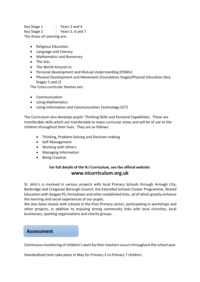Key Stage 1 - Years 3 and 4 Key Stage 2 - Years 5, 6 and 7 The Areas of Learning are:

- Religious Education
- Language and Literacy
- Mathematics and Numeracy
- The Arts
- The World Around Us
- Personal Development and Mutual Understanding (PDMU)
- Physical Development and Movement (Foundation Stage)/Physical Education (Key Stages 1 and 2)

The Cross-curricular themes are:

- Communication
- Using Mathematics
- Using Information and Communication Technology (ICT)

The Curriculum also develops pupils' Thinking Skills and Personal Capabilities. These are transferable skills which are transferable to many curricular areas and will be of use to the children throughout their lives. They are as follows:

- Thinking, Problem-Solving and Decision-making
- Self-Management
- Working with Others
- Managing Information
- Being Creative.

#### **For full details of the N.I Curriculum, see the official website: www.nicurriculum.org.uk**

St. John's is involved in various projects with local Primary Schools through Armagh City, Banbridge and Craigavon Borough Council, the Extended Schools Cluster Programme, Shared Education with Seagoe PS, Portadown and other established links, all of which greatly enhance the learning and social experiences of our pupils.

We also liaise closely with schools in the Post-Primary sector, participating in workshops and other projects, in addition to enjoying strong community links with local churches, local businesses, sporting organisations and charity groups.

#### **Assessment**

Continuous monitoring of children's work by their teachers occurs throughout the school year.

Standardised tests take place in May for Primary 3 to Primary 7 children.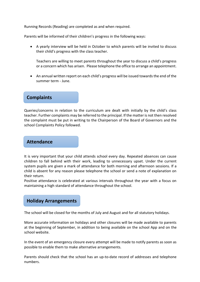Running Records (Reading) are completed as and when required.

Parents will be informed of their children's progress in the following ways:

• A yearly interview will be held in October to which parents will be invited to discuss their child's progress with the class teacher.

Teachers are willing to meet parents throughout the year to discuss a child's progress or a concern which has arisen. Please telephone the office to arrange an appointment.

• An annual written report on each child's progress will be issued towards the end of the summer term - June.

## **Complaints**

Queries/concerns in relation to the curriculum are dealt with initially by the child's class teacher. Further complaints may be referred to the principal. If the matter is not then resolved the complaint must be put in writing to the Chairperson of the Board of Governors and the school Complaints Policy followed.

#### **Attendance**

It is very important that your child attends school every day. Repeated absences can cause children to fall behind with their work, leading to unnecessary upset. Under the current system pupils are given a mark of attendance for both morning and afternoon sessions. If a child is absent for any reason please telephone the school or send a note of explanation on their return.

Positive attendance is celebrated at various intervals throughout the year with a focus on maintaining a high standard of attendance throughout the school.

## **Holiday Arrangements**

The school will be closed for the months of July and August and for all statutory holidays.

More accurate information on holidays and other closures will be made available to parents at the beginning of September, in addition to being available on the school App and on the school website.

In the event of an emergency closure every attempt will be made to notify parents as soon as possible to enable them to make alternative arrangements.

Parents should check that the school has an up-to-date record of addresses and telephone numbers.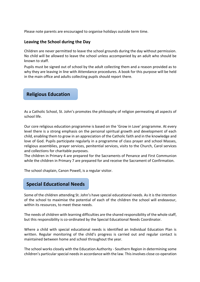Please note parents are encouraged to organise holidays outside term time.

#### **Leaving the School during the Day**

Children are never permitted to leave the school grounds during the day without permission. No child will be allowed to leave the school unless accompanied by an adult who should be known to staff.

Pupils must be signed out of school by the adult collecting them and a reason provided as to why they are leaving in line with Attendance procedures. A book for this purpose will be held in the main office and adults collecting pupils should report there.

**Religious Education**

As a Catholic School, St. John's promotes the philosophy of religion permeating all aspects of school life.

Our core religious education programme is based on the 'Grow in Love' programme. At every level there is a strong emphasis on the personal spiritual growth and development of each child, enabling them to grow in an appreciation of the Catholic faith and in the knowledge and love of God. Pupils participate regularly in a programme of class prayer and school Masses, religious assemblies, prayer services, penitential services, visits to the Church, Carol services and collections for charitable purposes.

The children in Primary 4 are prepared for the Sacraments of Penance and First Communion while the children in Primary 7 are prepared for and receive the Sacrament of Confirmation.

The school chaplain, Canon Powell, is a regular visitor.

# **Special Educational Needs**

Some of the children attending St. John's have special educational needs. As it is the intention of the school to maximise the potential of each of the children the school will endeavour, within its resources, to meet these needs.

The needs of children with learning difficulties are the shared responsibility of the whole staff, but this responsibility is co-ordinated by the Special Educational Needs Coordinator.

Where a child with special educational needs is identified an Individual Education Plan is written. Regular monitoring of the child's progress is carried out and regular contact is maintained between home and school throughout the year.

The school works closely with the Education Authority - Southern Region in determining some children's particular special needs in accordance with the law. This involves close co-operation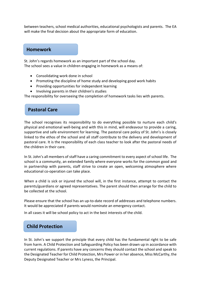between teachers, school medical authorities, educational psychologists and parents. The EA will make the final decision about the appropriate form of education.

# **Homework**

St. John's regards homework as an important part of the school day. The school sees a value in children engaging in homework as a means of:

- Consolidating work done in school
- Promoting the discipline of home study and developing good work habits
- Providing opportunities for independent learning
- Involving parents in their children's studies

The responsibility for overseeing the completion of homework tasks lies with parents.

#### **Pastoral Care**

The school recognises its responsibility to do everything possible to nurture each child's physical and emotional well-being and with this in mind, will endeavour to provide a caring, supportive and safe environment for learning. The pastoral care policy of St. John's is closely linked to the ethos of the school and all staff contribute to the delivery and development of pastoral care. It is the responsibility of each class teacher to look after the pastoral needs of the children in their care.

In St. John's all members of staff have a caring commitment to every aspect of school life. The school is a community, an extended family where everyone works for the common good and in partnership with parents, staff strive to create an open, welcoming atmosphere where educational co-operation can take place.

When a child is sick or injured the school will, in the first instance, attempt to contact the parents/guardians or agreed representatives. The parent should then arrange for the child to be collected at the school.

Please ensure that the school has an up-to-date record of addresses and telephone numbers. It would be appreciated if parents would nominate an emergency contact.

In all cases it will be school policy to act in the best interests of the child.

# **Child Protection**

In St. John's we support the principle that every child has the fundamental right to be safe from harm. A Child Protection and Safeguarding Policy has been drawn up in accordance with current regulations. If parents have any concerns they should contact the school and speak to the Designated Teacher for Child Protection, Mrs Power or in her absence, Miss McCarthy, the Deputy Designated Teacher or Mrs Lyness, the Principal.